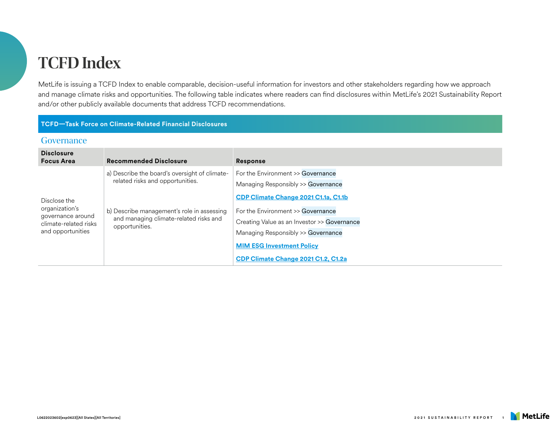# **TCFD Index**

MetLife is issuing a TCFD Index to enable comparable, decision-useful information for investors and other stakeholders regarding how we approach and manage climate risks and opportunities. The following table indicates where readers can find disclosures within MetLife's 2021 Sustainability Report and/or other publicly available documents that address TCFD recommendations.

#### **TCFD—Task Force on Climate-Related Financial Disclosures**

#### **Governance**

| <b>Disclosure</b><br><b>Focus Area</b>                                                            | <b>Recommended Disclosure</b>                                                                                                                                                               | <b>Response</b>                                                                                                                                                                                                                                                                                                      |
|---------------------------------------------------------------------------------------------------|---------------------------------------------------------------------------------------------------------------------------------------------------------------------------------------------|----------------------------------------------------------------------------------------------------------------------------------------------------------------------------------------------------------------------------------------------------------------------------------------------------------------------|
| Disclose the<br>organization's<br>governance around<br>climate-related risks<br>and opportunities | a) Describe the board's oversight of climate-<br>related risks and opportunities.<br>b) Describe management's role in assessing<br>and managing climate-related risks and<br>opportunities. | For the Environment >> Governance<br>Managing Responsibly >> Governance<br>CDP Climate Change 2021 C1.1a, C1.1b<br>For the Environment >> Governance<br>Creating Value as an Investor >> Governance<br>Managing Responsibly >> Governance<br><b>MIM ESG Investment Policy</b><br>CDP Climate Change 2021 C1.2, C1.2a |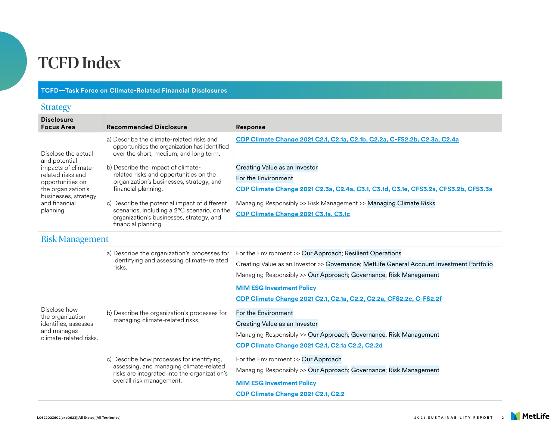## **TCFD Index**

### **TCFD—Task Force on Climate-Related Financial Disclosures**

### Strategy

| <b>Disclosure</b><br><b>Focus Area</b>                                                                                                                                           | <b>Recommended Disclosure</b>                                                                                                                                  | <b>Response</b>                                                                                           |
|----------------------------------------------------------------------------------------------------------------------------------------------------------------------------------|----------------------------------------------------------------------------------------------------------------------------------------------------------------|-----------------------------------------------------------------------------------------------------------|
| Disclose the actual<br>and potential<br>impacts of climate-<br>related risks and<br>opportunities on<br>the organization's<br>businesses, strategy<br>and financial<br>planning. | a) Describe the climate-related risks and<br>opportunities the organization has identified<br>over the short, medium, and long term.                           | CDP Climate Change 2021 C2.1, C2.1a, C2.1b, C2.2a, C-FS2.2b, C2.3a, C2.4a                                 |
|                                                                                                                                                                                  | b) Describe the impact of climate-<br>related risks and opportunities on the<br>organization's businesses, strategy, and<br>financial planning.                | Creating Value as an Investor                                                                             |
|                                                                                                                                                                                  |                                                                                                                                                                | For the Environment                                                                                       |
|                                                                                                                                                                                  |                                                                                                                                                                | CDP Climate Change 2021 C2.3a, C2.4a, C3.1, C3.1d, C3.1e, CFS3.2a, CFS3.2b, CFS3.3a                       |
|                                                                                                                                                                                  | c) Describe the potential impact of different<br>scenarios, including a 2°C scenario, on the<br>organization's businesses, strategy, and<br>financial planning | Managing Responsibly >> Risk Management >> Managing Climate Risks<br>CDP Climate Change 2021 C3.1a, C3.1c |

Risk Management

| Disclose how<br>the organization<br>identifies, assesses<br>and manages<br>climate-related risks. | a) Describe the organization's processes for<br>identifying and assessing climate-related<br>risks.                                                               | For the Environment >> Our Approach; Resilient Operations<br>Creating Value as an Investor >> Governance; MetLife General Account Investment Portfolio                                              |
|---------------------------------------------------------------------------------------------------|-------------------------------------------------------------------------------------------------------------------------------------------------------------------|-----------------------------------------------------------------------------------------------------------------------------------------------------------------------------------------------------|
|                                                                                                   | b) Describe the organization's processes for<br>managing climate-related risks.                                                                                   | Managing Responsibly >> Our Approach; Governance; Risk Management<br><b>MIM ESG Investment Policy</b><br>CDP Climate Change 2021 C2.1, C2.1a, C2.2, C2.2a, CFS2.2c, C-FS2.2f<br>For the Environment |
|                                                                                                   |                                                                                                                                                                   | Creating Value as an Investor<br>Managing Responsibly >> Our Approach; Governance; Risk Management<br>CDP Climate Change 2021 C2.1, C2.1a C2.2, C2.2d                                               |
|                                                                                                   | c) Describe how processes for identifying,<br>assessing, and managing climate-related<br>risks are integrated into the organization's<br>overall risk management. | For the Environment >> Our Approach<br>Managing Responsibly >> Our Approach; Governance; Risk Management<br><b>MIM ESG Investment Policy</b><br>CDP Climate Change 2021 C2.1, C2.2                  |